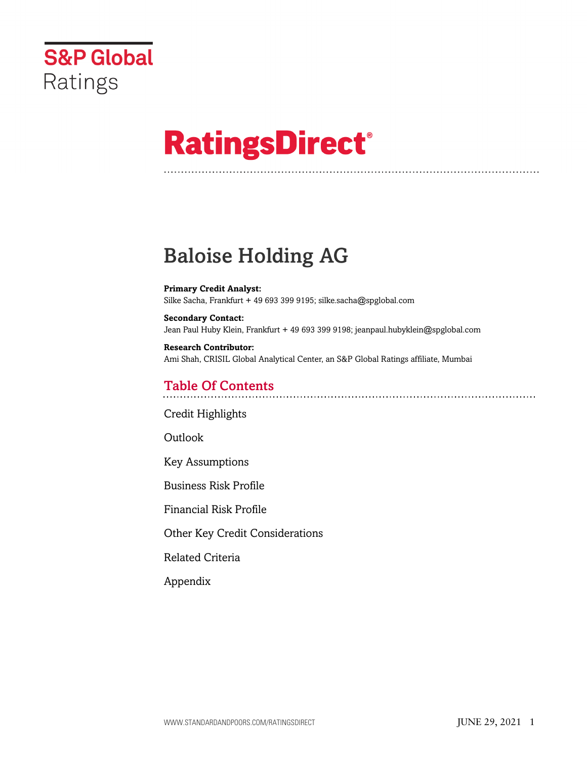

# **RatingsDirect®**

# Baloise Holding AG

**Primary Credit Analyst:** Silke Sacha, Frankfurt + 49 693 399 9195; silke.sacha@spglobal.com

**Secondary Contact:** Jean Paul Huby Klein, Frankfurt + 49 693 399 9198; jeanpaul.hubyklein@spglobal.com

**Research Contributor:** Ami Shah, CRISIL Global Analytical Center, an S&P Global Ratings affiliate, Mumbai

# Table Of Contents

[Credit Highlights](#page-1-0)

Outlook

[Key Assumptions](#page-2-0)

[Business Risk Profile](#page-3-0)

[Financial Risk Profile](#page-4-0)

[Other Key Credit Considerations](#page-6-0)

[Related Criteria](#page-7-0)

[Appendix](#page-7-1)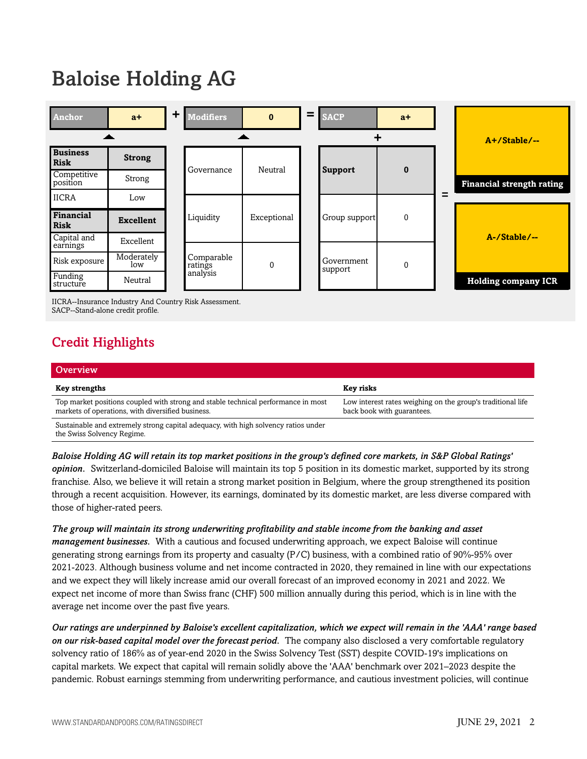# Baloise Holding AG



<span id="page-1-0"></span>IICRA--Insurance Industry And Country Risk Assessment. SACP--Stand-alone credit profile.

# Credit Highlights

| Overview                                                                                                                               |                                                                                           |
|----------------------------------------------------------------------------------------------------------------------------------------|-------------------------------------------------------------------------------------------|
| <b>Key strengths</b>                                                                                                                   | Key risks                                                                                 |
| Top market positions coupled with strong and stable technical performance in most<br>markets of operations, with diversified business. | Low interest rates weighing on the group's traditional life<br>back book with guarantees. |
| Sustainable and extremely strong capital adequacy, with high solvency ratios under<br>the Swiss Solvency Regime.                       |                                                                                           |

*Baloise Holding AG will retain its top market positions in the group's defined core markets, in S&P Global Ratings' opinion.* Switzerland-domiciled Baloise will maintain its top 5 position in its domestic market, supported by its strong franchise. Also, we believe it will retain a strong market position in Belgium, where the group strengthened its position through a recent acquisition. However, its earnings, dominated by its domestic market, are less diverse compared with those of higher-rated peers.

*The group will maintain its strong underwriting profitability and stable income from the banking and asset management businesses.* With a cautious and focused underwriting approach, we expect Baloise will continue generating strong earnings from its property and casualty (P/C) business, with a combined ratio of 90%-95% over 2021-2023. Although business volume and net income contracted in 2020, they remained in line with our expectations and we expect they will likely increase amid our overall forecast of an improved economy in 2021 and 2022. We expect net income of more than Swiss franc (CHF) 500 million annually during this period, which is in line with the average net income over the past five years.

*Our ratings are underpinned by Baloise's excellent capitalization, which we expect will remain in the 'AAA' range based on our risk-based capital model over the forecast period.* The company also disclosed a very comfortable regulatory solvency ratio of 186% as of year-end 2020 in the Swiss Solvency Test (SST) despite COVID-19's implications on capital markets. We expect that capital will remain solidly above the 'AAA' benchmark over 2021–2023 despite the pandemic. Robust earnings stemming from underwriting performance, and cautious investment policies, will continue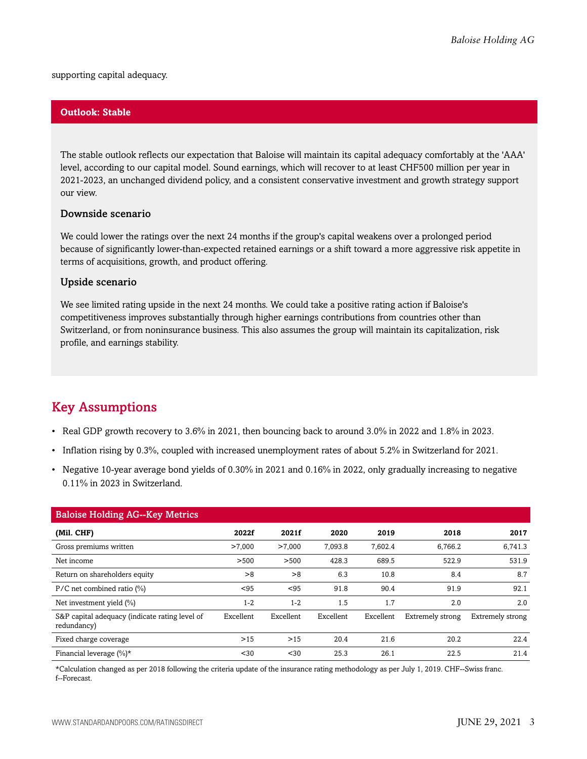supporting capital adequacy.

#### **Outlook: Stable**

The stable outlook reflects our expectation that Baloise will maintain its capital adequacy comfortably at the 'AAA' level, according to our capital model. Sound earnings, which will recover to at least CHF500 million per year in 2021-2023, an unchanged dividend policy, and a consistent conservative investment and growth strategy support our view.

#### Downside scenario

We could lower the ratings over the next 24 months if the group's capital weakens over a prolonged period because of significantly lower-than-expected retained earnings or a shift toward a more aggressive risk appetite in terms of acquisitions, growth, and product offering.

#### Upside scenario

We see limited rating upside in the next 24 months. We could take a positive rating action if Baloise's competitiveness improves substantially through higher earnings contributions from countries other than Switzerland, or from noninsurance business. This also assumes the group will maintain its capitalization, risk profile, and earnings stability.

# <span id="page-2-0"></span>Key Assumptions

- Real GDP growth recovery to 3.6% in 2021, then bouncing back to around 3.0% in 2022 and 1.8% in 2023.
- Inflation rising by 0.3%, coupled with increased unemployment rates of about 5.2% in Switzerland for 2021.
- Negative 10-year average bond yields of 0.30% in 2021 and 0.16% in 2022, only gradually increasing to negative 0.11% in 2023 in Switzerland.

| <b>Baloise Holding AG--Key Metrics</b>                        |           |           |           |           |                  |                  |  |
|---------------------------------------------------------------|-----------|-----------|-----------|-----------|------------------|------------------|--|
| (Mil. CHF)                                                    | 2022f     | 2021f     | 2020      | 2019      | 2018             | 2017             |  |
| Gross premiums written                                        | >7.000    | >7.000    | 7.093.8   | 7.602.4   | 6,766.2          | 6.741.3          |  |
| Net income                                                    | >500      | >500      | 428.3     | 689.5     | 522.9            | 531.9            |  |
| Return on shareholders equity                                 | >8        | >8        | 6.3       | 10.8      | 8.4              | 8.7              |  |
| $P/C$ net combined ratio $(\%)$                               | < 95      | < 95      | 91.8      | 90.4      | 91.9             | 92.1             |  |
| Net investment yield $(\% )$                                  | $1 - 2$   | $1 - 2$   | 1.5       | 1.7       | 2.0              | 2.0              |  |
| S&P capital adequacy (indicate rating level of<br>redundancy) | Excellent | Excellent | Excellent | Excellent | Extremely strong | Extremely strong |  |
| Fixed charge coverage                                         | >15       | >15       | 20.4      | 21.6      | 20.2             | 22.4             |  |
| Financial leverage $(\%)^*$                                   | $30$      | $30$      | 25.3      | 26.1      | 22.5             | 21.4             |  |

\*Calculation changed as per 2018 following the criteria update of the insurance rating methodology as per July 1, 2019. CHF--Swiss franc. f--Forecast.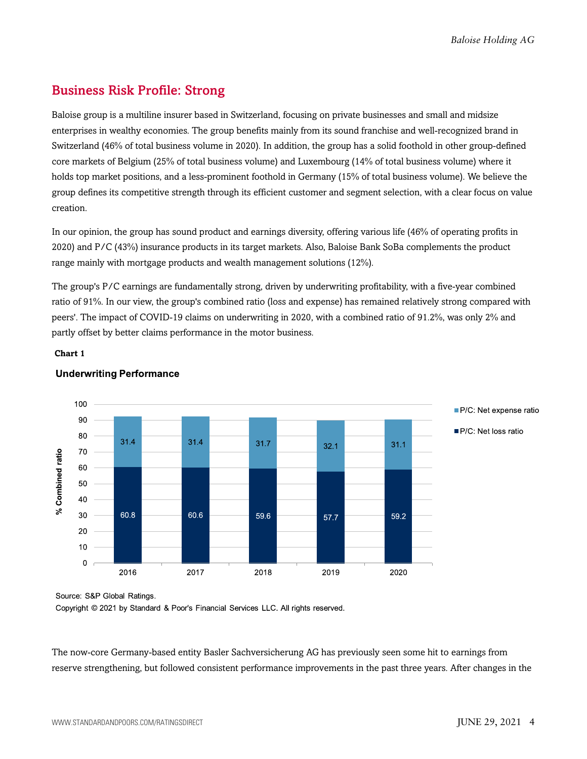# <span id="page-3-0"></span>Business Risk Profile: Strong

Baloise group is a multiline insurer based in Switzerland, focusing on private businesses and small and midsize enterprises in wealthy economies. The group benefits mainly from its sound franchise and well-recognized brand in Switzerland (46% of total business volume in 2020). In addition, the group has a solid foothold in other group-defined core markets of Belgium (25% of total business volume) and Luxembourg (14% of total business volume) where it holds top market positions, and a less-prominent foothold in Germany (15% of total business volume). We believe the group defines its competitive strength through its efficient customer and segment selection, with a clear focus on value creation.

In our opinion, the group has sound product and earnings diversity, offering various life (46% of operating profits in 2020) and P/C (43%) insurance products in its target markets. Also, Baloise Bank SoBa complements the product range mainly with mortgage products and wealth management solutions (12%).

The group's P/C earnings are fundamentally strong, driven by underwriting profitability, with a five-year combined ratio of 91%. In our view, the group's combined ratio (loss and expense) has remained relatively strong compared with peers'. The impact of COVID-19 claims on underwriting in 2020, with a combined ratio of 91.2%, was only 2% and partly offset by better claims performance in the motor business.

#### **Chart 1**



#### **Underwriting Performance**

Source: S&P Global Ratings.

Copyright © 2021 by Standard & Poor's Financial Services LLC. All rights reserved.

The now-core Germany-based entity Basler Sachversicherung AG has previously seen some hit to earnings from reserve strengthening, but followed consistent performance improvements in the past three years. After changes in the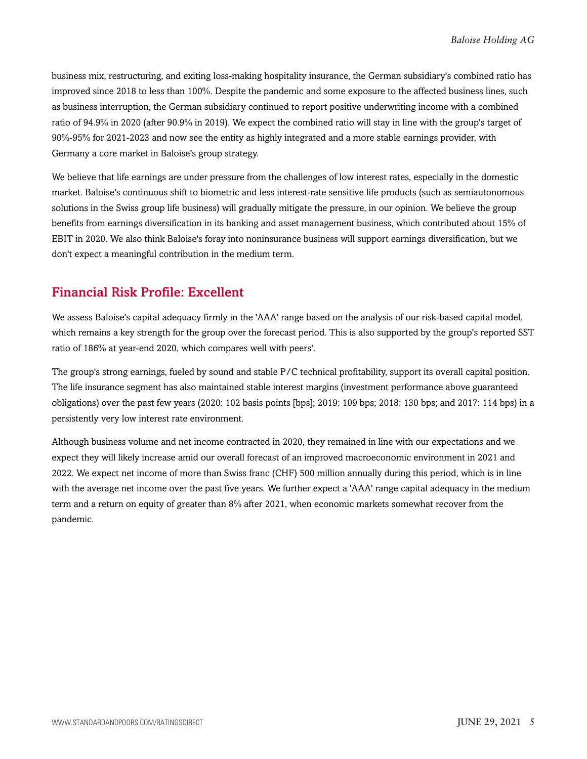business mix, restructuring, and exiting loss-making hospitality insurance, the German subsidiary's combined ratio has improved since 2018 to less than 100%. Despite the pandemic and some exposure to the affected business lines, such as business interruption, the German subsidiary continued to report positive underwriting income with a combined ratio of 94.9% in 2020 (after 90.9% in 2019). We expect the combined ratio will stay in line with the group's target of 90%-95% for 2021-2023 and now see the entity as highly integrated and a more stable earnings provider, with Germany a core market in Baloise's group strategy.

We believe that life earnings are under pressure from the challenges of low interest rates, especially in the domestic market. Baloise's continuous shift to biometric and less interest-rate sensitive life products (such as semiautonomous solutions in the Swiss group life business) will gradually mitigate the pressure, in our opinion. We believe the group benefits from earnings diversification in its banking and asset management business, which contributed about 15% of EBIT in 2020. We also think Baloise's foray into noninsurance business will support earnings diversification, but we don't expect a meaningful contribution in the medium term.

### <span id="page-4-0"></span>Financial Risk Profile: Excellent

We assess Baloise's capital adequacy firmly in the 'AAA' range based on the analysis of our risk-based capital model, which remains a key strength for the group over the forecast period. This is also supported by the group's reported SST ratio of 186% at year-end 2020, which compares well with peers'.

The group's strong earnings, fueled by sound and stable P/C technical profitability, support its overall capital position. The life insurance segment has also maintained stable interest margins (investment performance above guaranteed obligations) over the past few years (2020: 102 basis points [bps]; 2019: 109 bps; 2018: 130 bps; and 2017: 114 bps) in a persistently very low interest rate environment.

Although business volume and net income contracted in 2020, they remained in line with our expectations and we expect they will likely increase amid our overall forecast of an improved macroeconomic environment in 2021 and 2022. We expect net income of more than Swiss franc (CHF) 500 million annually during this period, which is in line with the average net income over the past five years. We further expect a 'AAA' range capital adequacy in the medium term and a return on equity of greater than 8% after 2021, when economic markets somewhat recover from the pandemic.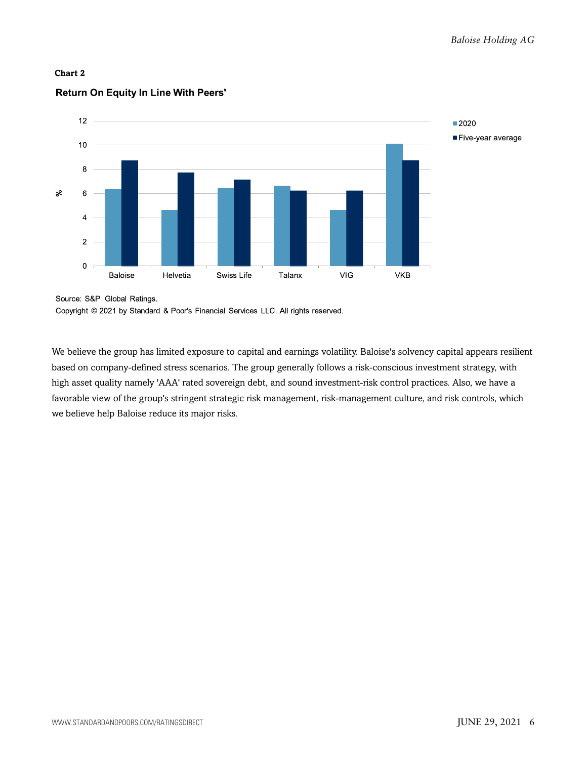



#### **Return On Equity In Line With Peers'**

Source: S&P Global Ratings.

Copyright © 2021 by Standard & Poor's Financial Services LLC. All rights reserved.

We believe the group has limited exposure to capital and earnings volatility. Baloise's solvency capital appears resilient based on company-defined stress scenarios. The group generally follows a risk-conscious investment strategy, with high asset quality namely 'AAA' rated sovereign debt, and sound investment-risk control practices. Also, we have a favorable view of the group's stringent strategic risk management, risk-management culture, and risk controls, which we believe help Baloise reduce its major risks.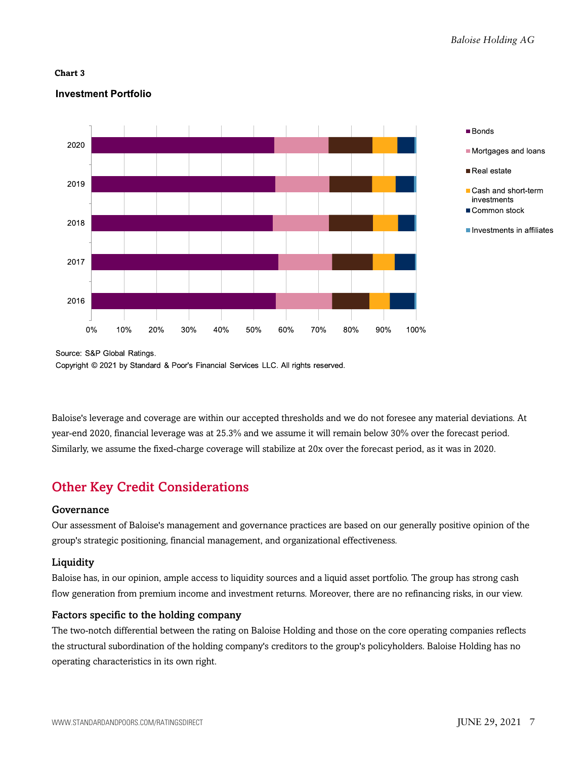#### **Chart 3**

#### **Investment Portfolio**



Source: S&P Global Ratings.

Copyright © 2021 by Standard & Poor's Financial Services LLC. All rights reserved.

Baloise's leverage and coverage are within our accepted thresholds and we do not foresee any material deviations. At year-end 2020, financial leverage was at 25.3% and we assume it will remain below 30% over the forecast period. Similarly, we assume the fixed-charge coverage will stabilize at 20x over the forecast period, as it was in 2020.

# <span id="page-6-0"></span>Other Key Credit Considerations

#### Governance

Our assessment of Baloise's management and governance practices are based on our generally positive opinion of the group's strategic positioning, financial management, and organizational effectiveness.

#### **Liquidity**

Baloise has, in our opinion, ample access to liquidity sources and a liquid asset portfolio. The group has strong cash flow generation from premium income and investment returns. Moreover, there are no refinancing risks, in our view.

#### Factors specific to the holding company

The two-notch differential between the rating on Baloise Holding and those on the core operating companies reflects the structural subordination of the holding company's creditors to the group's policyholders. Baloise Holding has no operating characteristics in its own right.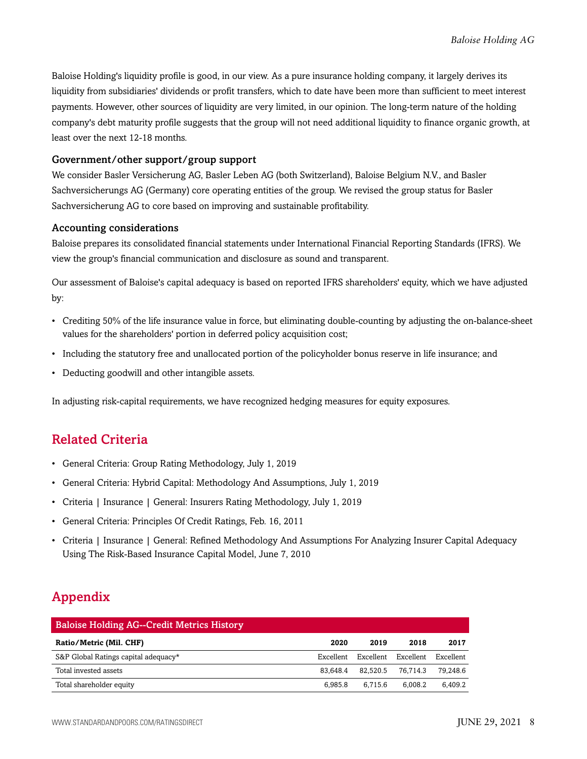Baloise Holding's liquidity profile is good, in our view. As a pure insurance holding company, it largely derives its liquidity from subsidiaries' dividends or profit transfers, which to date have been more than sufficient to meet interest payments. However, other sources of liquidity are very limited, in our opinion. The long-term nature of the holding company's debt maturity profile suggests that the group will not need additional liquidity to finance organic growth, at least over the next 12-18 months.

#### Government/other support/group support

We consider Basler Versicherung AG, Basler Leben AG (both Switzerland), Baloise Belgium N.V., and Basler Sachversicherungs AG (Germany) core operating entities of the group. We revised the group status for Basler Sachversicherung AG to core based on improving and sustainable profitability.

#### Accounting considerations

Baloise prepares its consolidated financial statements under International Financial Reporting Standards (IFRS). We view the group's financial communication and disclosure as sound and transparent.

Our assessment of Baloise's capital adequacy is based on reported IFRS shareholders' equity, which we have adjusted by:

- Crediting 50% of the life insurance value in force, but eliminating double-counting by adjusting the on-balance-sheet values for the shareholders' portion in deferred policy acquisition cost;
- Including the statutory free and unallocated portion of the policyholder bonus reserve in life insurance; and
- Deducting goodwill and other intangible assets.

<span id="page-7-0"></span>In adjusting risk-capital requirements, we have recognized hedging measures for equity exposures.

### Related Criteria

- General Criteria: Group Rating Methodology, July 1, 2019
- General Criteria: Hybrid Capital: Methodology And Assumptions, July 1, 2019
- Criteria | Insurance | General: Insurers Rating Methodology, July 1, 2019
- General Criteria: Principles Of Credit Ratings, Feb. 16, 2011
- Criteria | Insurance | General: Refined Methodology And Assumptions For Analyzing Insurer Capital Adequacy Using The Risk-Based Insurance Capital Model, June 7, 2010

# <span id="page-7-1"></span>Appendix

| <b>Baloise Holding AG--Credit Metrics History</b> |           |           |           |           |  |  |
|---------------------------------------------------|-----------|-----------|-----------|-----------|--|--|
| Ratio/Metric (Mil. CHF)                           | 2020      | 2019      | 2018      | 2017      |  |  |
| S&P Global Ratings capital adequacy*              | Excellent | Excellent | Excellent | Excellent |  |  |
| Total invested assets                             | 83.648.4  | 82.520.5  | 76.714.3  | 79.248.6  |  |  |
| Total shareholder equity                          | 6.985.8   | 6.715.6   | 6.008.2   | 6.409.2   |  |  |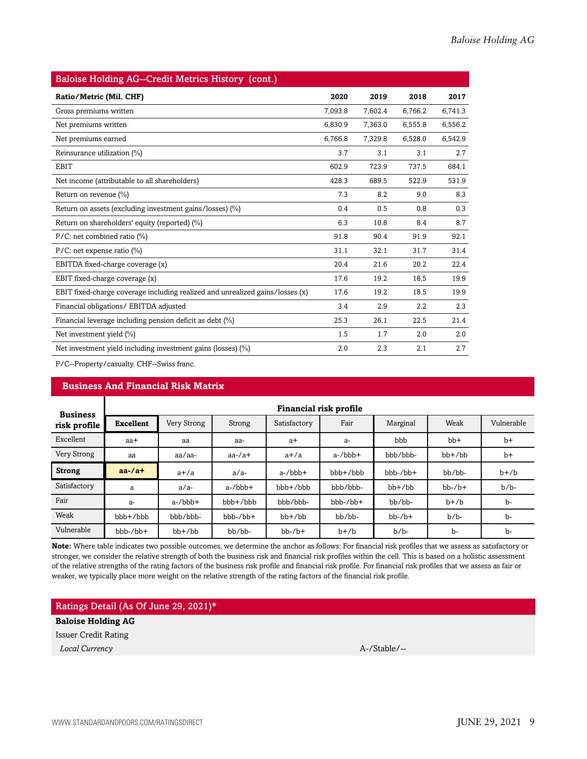| <b>Baloise Holding AG--Credit Metrics History (cont.)</b>                     |         |         |         |         |  |
|-------------------------------------------------------------------------------|---------|---------|---------|---------|--|
| Ratio/Metric (Mil. CHF)                                                       | 2020    | 2019    | 2018    | 2017    |  |
| Gross premiums written                                                        | 7,093.8 | 7,602.4 | 6,766.2 | 6,741.3 |  |
| Net premiums written                                                          | 6,830.9 | 7,363.0 | 6,555.8 | 6,556.2 |  |
| Net premiums earned                                                           | 6,766.8 | 7,329.8 | 6,528.0 | 6,542.9 |  |
| Reinsurance utilization (%)                                                   | 3.7     | 3.1     | 3.1     | 2.7     |  |
| <b>EBIT</b>                                                                   | 602.9   | 723.9   | 737.5   | 684.1   |  |
| Net income (attributable to all shareholders)                                 | 428.3   | 689.5   | 522.9   | 531.9   |  |
| Return on revenue (%)                                                         | 7.3     | 8.2     | 9.0     | 8.3     |  |
| Return on assets (excluding investment gains/losses) (%)                      | 0.4     | 0.5     | 0.8     | 0.3     |  |
| Return on shareholders' equity (reported) (%)                                 | 6.3     | 10.8    | 8.4     | 8.7     |  |
| $P/C$ : net combined ratio (%)                                                | 91.8    | 90.4    | 91.9    | 92.1    |  |
| $P/C$ : net expense ratio (%)                                                 | 31.1    | 32.1    | 31.7    | 31.4    |  |
| EBITDA fixed-charge coverage (x)                                              | 20.4    | 21.6    | 20.2    | 22.4    |  |
| EBIT fixed-charge coverage (x)                                                | 17.6    | 19.2    | 18.5    | 19.9    |  |
| EBIT fixed-charge coverage including realized and unrealized gains/losses (x) | 17.6    | 19.2    | 18.5    | 19.9    |  |
| Financial obligations/ EBITDA adjusted                                        | 3.4     | 2.9     | 2.2     | 2.3     |  |
| Financial leverage including pension deficit as debt (%)                      | 25.3    | 26.1    | 22.5    | 21.4    |  |
| Net investment yield $(\% )$                                                  | 1.5     | 1.7     | 2.0     | $2.0\,$ |  |
| Net investment yield including investment gains (losses) (%)                  | 2.0     | 2.3     | 2.1     | 2.7     |  |

P/C--Property/casualty. CHF--Swiss franc.

#### **Business And Financial Risk Matrix**

| <b>Business</b> | Financial risk profile |              |               |               |                  |              |              |            |
|-----------------|------------------------|--------------|---------------|---------------|------------------|--------------|--------------|------------|
| risk profile    | <b>Excellent</b>       | Very Strong  | Strong        | Satisfactory  | Fair             | Marginal     | Weak         | Vulnerable |
| Excellent       | aa+                    | aa           | aa-           | $a+$          | a-               | bbb          | $bb+$        | $b+$       |
| Very Strong     | aa                     | aa/aa-       | $aa$ -/ $a$ + | $a+/a$        | $a$ -/ $bbb$ +   | bbb/bbb-     | $bb+$ / $bb$ | $b+$       |
| <b>Strong</b>   | $aa$ -/a+              | $a+/a$       | $a/a-$        | $a$ -/bbb+    | bbb+/bbb         | $bbb-/bb+$   | $bb/bb$ -    | $b+b$      |
| Satisfactory    | a                      | $a/a-$       | $a$ -/ $bbb$  | $bbb + / bbb$ | bbb/bbb-         | $bb+$ / $bb$ | $bb-$ / $b+$ | $b/b$ -    |
| Fair            | a-                     | $a$ -/ $bbb$ | $bbb + /bbb$  | bbb/bbb-      | $bbb-b$ -/ $bb+$ | bb/bb-       | $b+b$        | b-         |
| Weak            | $bbb+b$                | bbb/bbb-     | $bbb-/bb+$    | $bb+/bb$      | bb/bb-           | $bb-$ / $b+$ | $b/b$ -      | b-         |
| Vulnerable      | $bbb-/bb+$             | $bb+$ / $bb$ | bb/bb-        | $bb-7b+$      | $b+/b$           | $b/b$ -      | b-           | b-         |

**Note:** Where table indicates two possible outcomes, we determine the anchor as follows: For financial risk profiles that we assess as satisfactory or stronger, we consider the relative strength of both the business risk and financial risk profiles within the cell. This is based on a holistic assessment of the relative strengths of the rating factors of the business risk profile and financial risk profile. For financial risk profiles that we assess as fair or weaker, we typically place more weight on the relative strength of the rating factors of the financial risk profile.

#### Ratings Detail (As Of June 29, 2021)\*

#### **Baloise Holding AG**

Issuer Credit Rating

*Local Currency* A-/Stable/--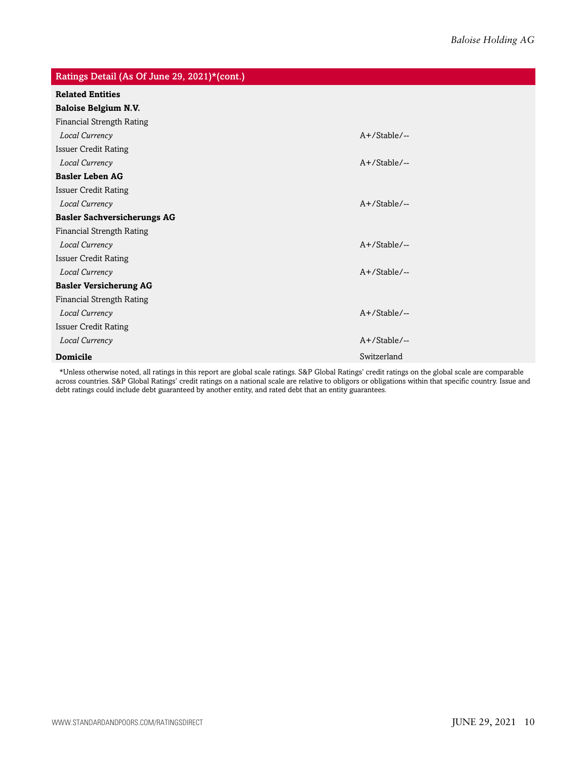| Ratings Detail (As Of June 29, 2021)*(cont.) |                 |
|----------------------------------------------|-----------------|
| <b>Related Entities</b>                      |                 |
| <b>Baloise Belgium N.V.</b>                  |                 |
| <b>Financial Strength Rating</b>             |                 |
| Local Currency                               | $A+$ /Stable/-- |
| <b>Issuer Credit Rating</b>                  |                 |
| Local Currency                               | $A+$ /Stable/-- |
| <b>Basler Leben AG</b>                       |                 |
| <b>Issuer Credit Rating</b>                  |                 |
| Local Currency                               | $A+$ /Stable/-- |
| <b>Basler Sachversicherungs AG</b>           |                 |
| <b>Financial Strength Rating</b>             |                 |
| Local Currency                               | $A+$ /Stable/-- |
| <b>Issuer Credit Rating</b>                  |                 |
| Local Currency                               | $A+$ /Stable/-- |
| <b>Basler Versicherung AG</b>                |                 |
| <b>Financial Strength Rating</b>             |                 |
| Local Currency                               | $A+$ /Stable/-- |
| <b>Issuer Credit Rating</b>                  |                 |
| Local Currency                               | A+/Stable/--    |
| <b>Domicile</b>                              | Switzerland     |

\*Unless otherwise noted, all ratings in this report are global scale ratings. S&P Global Ratings' credit ratings on the global scale are comparable across countries. S&P Global Ratings' credit ratings on a national scale are relative to obligors or obligations within that specific country. Issue and debt ratings could include debt guaranteed by another entity, and rated debt that an entity guarantees.